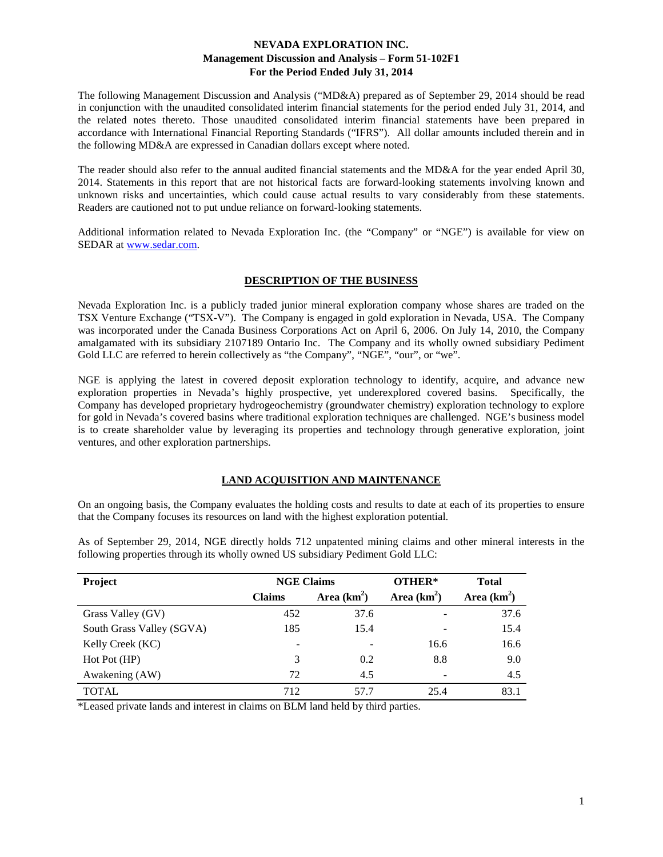The following Management Discussion and Analysis ("MD&A) prepared as of September 29, 2014 should be read in conjunction with the unaudited consolidated interim financial statements for the period ended July 31, 2014, and the related notes thereto. Those unaudited consolidated interim financial statements have been prepared in accordance with International Financial Reporting Standards ("IFRS"). All dollar amounts included therein and in the following MD&A are expressed in Canadian dollars except where noted.

The reader should also refer to the annual audited financial statements and the MD&A for the year ended April 30, 2014. Statements in this report that are not historical facts are forward-looking statements involving known and unknown risks and uncertainties, which could cause actual results to vary considerably from these statements. Readers are cautioned not to put undue reliance on forward-looking statements.

Additional information related to Nevada Exploration Inc. (the "Company" or "NGE") is available for view on SEDAR at [www.sedar.com.](http://www.sedar.com/)

## **DESCRIPTION OF THE BUSINESS**

Nevada Exploration Inc. is a publicly traded junior mineral exploration company whose shares are traded on the TSX Venture Exchange ("TSX-V"). The Company is engaged in gold exploration in Nevada, USA. The Company was incorporated under the Canada Business Corporations Act on April 6, 2006. On July 14, 2010, the Company amalgamated with its subsidiary 2107189 Ontario Inc. The Company and its wholly owned subsidiary Pediment Gold LLC are referred to herein collectively as "the Company", "NGE", "our", or "we".

NGE is applying the latest in covered deposit exploration technology to identify, acquire, and advance new exploration properties in Nevada's highly prospective, yet underexplored covered basins. Specifically, the Company has developed proprietary hydrogeochemistry (groundwater chemistry) exploration technology to explore for gold in Nevada's covered basins where traditional exploration techniques are challenged. NGE's business model is to create shareholder value by leveraging its properties and technology through generative exploration, joint ventures, and other exploration partnerships.

#### **LAND ACQUISITION AND MAINTENANCE**

On an ongoing basis, the Company evaluates the holding costs and results to date at each of its properties to ensure that the Company focuses its resources on land with the highest exploration potential.

As of September 29, 2014, NGE directly holds 712 unpatented mining claims and other mineral interests in the following properties through its wholly owned US subsidiary Pediment Gold LLC:

| Project                   | <b>NGE Claims</b> |               | OTHER* | <b>Total</b>  |
|---------------------------|-------------------|---------------|--------|---------------|
|                           | <b>Claims</b>     | Area $(km^2)$ |        | Area $(km^2)$ |
| Grass Valley (GV)         | 452               | 37.6          |        | 37.6          |
| South Grass Valley (SGVA) | 185               | 15.4          |        | 15.4          |
| Kelly Creek (KC)          | -                 |               | 16.6   | 16.6          |
| Hot Pot (HP)              | 3                 | 0.2           | 8.8    | 9.0           |
| Awakening (AW)            | 72                | 4.5           |        | 4.5           |
| <b>TOTAL</b>              | 712               | 57.7          | 25.4   | 83.1          |

\*Leased private lands and interest in claims on BLM land held by third parties.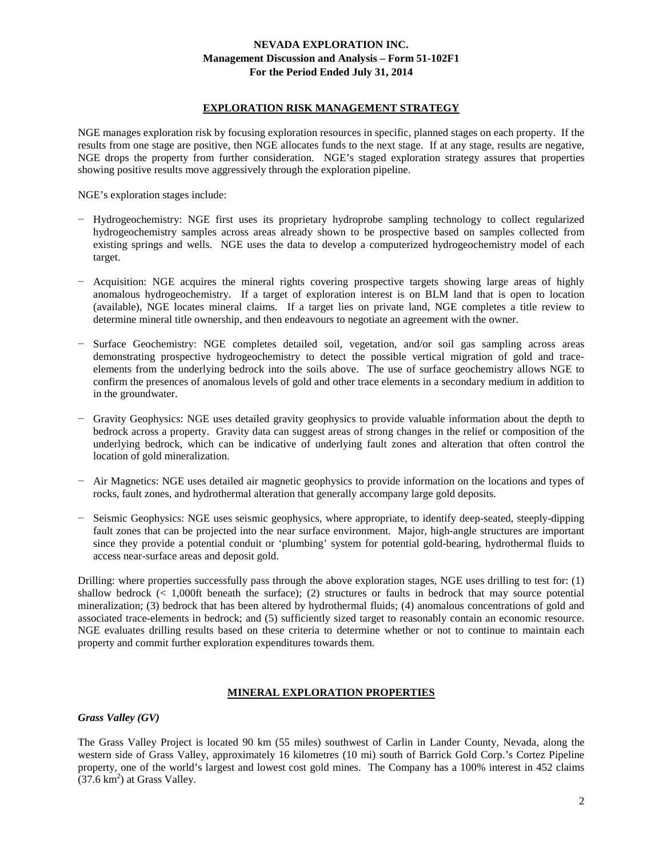#### **EXPLORATION RISK MANAGEMENT STRATEGY**

NGE manages exploration risk by focusing exploration resources in specific, planned stages on each property. If the results from one stage are positive, then NGE allocates funds to the next stage. If at any stage, results are negative, NGE drops the property from further consideration. NGE's staged exploration strategy assures that properties showing positive results move aggressively through the exploration pipeline.

NGE's exploration stages include:

- − Hydrogeochemistry: NGE first uses its proprietary hydroprobe sampling technology to collect regularized hydrogeochemistry samples across areas already shown to be prospective based on samples collected from existing springs and wells. NGE uses the data to develop a computerized hydrogeochemistry model of each target.
- − Acquisition: NGE acquires the mineral rights covering prospective targets showing large areas of highly anomalous hydrogeochemistry. If a target of exploration interest is on BLM land that is open to location (available), NGE locates mineral claims. If a target lies on private land, NGE completes a title review to determine mineral title ownership, and then endeavours to negotiate an agreement with the owner.
- − Surface Geochemistry: NGE completes detailed soil, vegetation, and/or soil gas sampling across areas demonstrating prospective hydrogeochemistry to detect the possible vertical migration of gold and traceelements from the underlying bedrock into the soils above. The use of surface geochemistry allows NGE to confirm the presences of anomalous levels of gold and other trace elements in a secondary medium in addition to in the groundwater.
- − Gravity Geophysics: NGE uses detailed gravity geophysics to provide valuable information about the depth to bedrock across a property. Gravity data can suggest areas of strong changes in the relief or composition of the underlying bedrock, which can be indicative of underlying fault zones and alteration that often control the location of gold mineralization.
- − Air Magnetics: NGE uses detailed air magnetic geophysics to provide information on the locations and types of rocks, fault zones, and hydrothermal alteration that generally accompany large gold deposits.
- − Seismic Geophysics: NGE uses seismic geophysics, where appropriate, to identify deep-seated, steeply-dipping fault zones that can be projected into the near surface environment. Major, high-angle structures are important since they provide a potential conduit or 'plumbing' system for potential gold-bearing, hydrothermal fluids to access near-surface areas and deposit gold.

Drilling: where properties successfully pass through the above exploration stages, NGE uses drilling to test for: (1) shallow bedrock (< 1,000ft beneath the surface); (2) structures or faults in bedrock that may source potential mineralization; (3) bedrock that has been altered by hydrothermal fluids; (4) anomalous concentrations of gold and associated trace-elements in bedrock; and (5) sufficiently sized target to reasonably contain an economic resource. NGE evaluates drilling results based on these criteria to determine whether or not to continue to maintain each property and commit further exploration expenditures towards them.

## **MINERAL EXPLORATION PROPERTIES**

*Grass Valley (GV)*

The Grass Valley Project is located 90 km (55 miles) southwest of Carlin in Lander County, Nevada, along the western side of Grass Valley, approximately 16 kilometres (10 mi) south of Barrick Gold Corp.'s Cortez Pipeline property, one of the world's largest and lowest cost gold mines. The Company has a 100% interest in 452 claims  $(37.6 \text{ km}^2)$  at Grass Valley.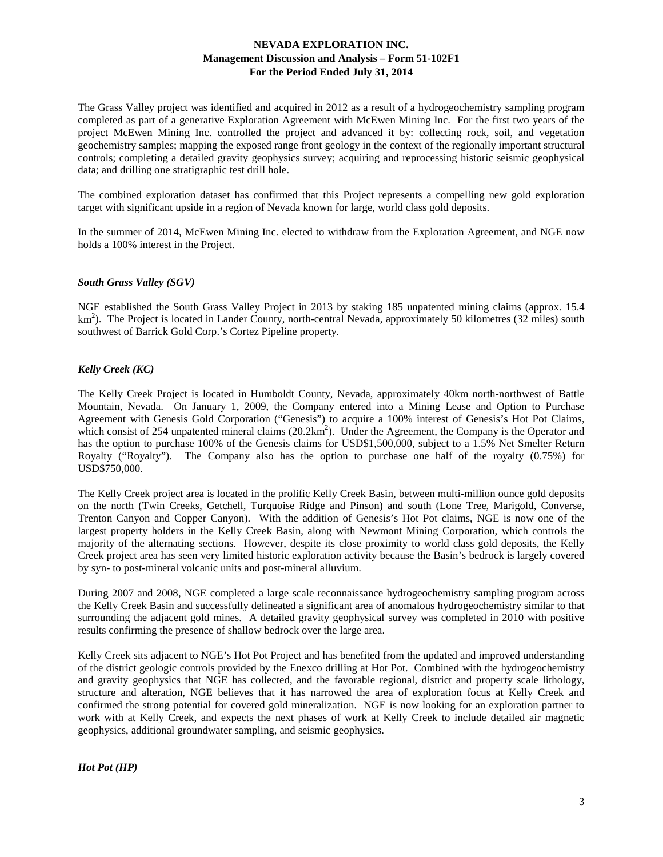The Grass Valley project was identified and acquired in 2012 as a result of a hydrogeochemistry sampling program completed as part of a generative Exploration Agreement with McEwen Mining Inc. For the first two years of the project McEwen Mining Inc. controlled the project and advanced it by: collecting rock, soil, and vegetation geochemistry samples; mapping the exposed range front geology in the context of the regionally important structural controls; completing a detailed gravity geophysics survey; acquiring and reprocessing historic seismic geophysical data; and drilling one stratigraphic test drill hole.

The combined exploration dataset has confirmed that this Project represents a compelling new gold exploration target with significant upside in a region of Nevada known for large, world class gold deposits.

In the summer of 2014, McEwen Mining Inc. elected to withdraw from the Exploration Agreement, and NGE now holds a 100% interest in the Project.

## *South Grass Valley (SGV)*

NGE established the South Grass Valley Project in 2013 by staking 185 unpatented mining claims (approx. 15.4 km<sup>2</sup>). The Project is located in Lander County, north-central Nevada, approximately 50 kilometres (32 miles) south southwest of Barrick Gold Corp.'s Cortez Pipeline property.

#### *Kelly Creek (KC)*

The Kelly Creek Project is located in Humboldt County, Nevada, approximately 40km north-northwest of Battle Mountain, Nevada. On January 1, 2009, the Company entered into a Mining Lease and Option to Purchase Agreement with Genesis Gold Corporation ("Genesis") to acquire a 100% interest of Genesis's Hot Pot Claims, which consist of 254 unpatented mineral claims  $(20.2 \text{km}^2)$ . Under the Agreement, the Company is the Operator and has the option to purchase 100% of the Genesis claims for USD\$1,500,000, subject to a 1.5% Net Smelter Return Royalty ("Royalty"). The Company also has the option to purchase one half of the royalty (0.75%) for USD\$750,000.

The Kelly Creek project area is located in the prolific Kelly Creek Basin, between multi-million ounce gold deposits on the north (Twin Creeks, Getchell, Turquoise Ridge and Pinson) and south (Lone Tree, Marigold, Converse, Trenton Canyon and Copper Canyon). With the addition of Genesis's Hot Pot claims, NGE is now one of the largest property holders in the Kelly Creek Basin, along with Newmont Mining Corporation, which controls the majority of the alternating sections. However, despite its close proximity to world class gold deposits, the Kelly Creek project area has seen very limited historic exploration activity because the Basin's bedrock is largely covered by syn- to post-mineral volcanic units and post-mineral alluvium.

During 2007 and 2008, NGE completed a large scale reconnaissance hydrogeochemistry sampling program across the Kelly Creek Basin and successfully delineated a significant area of anomalous hydrogeochemistry similar to that surrounding the adjacent gold mines. A detailed gravity geophysical survey was completed in 2010 with positive results confirming the presence of shallow bedrock over the large area.

Kelly Creek sits adjacent to NGE's Hot Pot Project and has benefited from the updated and improved understanding of the district geologic controls provided by the Enexco drilling at Hot Pot. Combined with the hydrogeochemistry and gravity geophysics that NGE has collected, and the favorable regional, district and property scale lithology, structure and alteration, NGE believes that it has narrowed the area of exploration focus at Kelly Creek and confirmed the strong potential for covered gold mineralization. NGE is now looking for an exploration partner to work with at Kelly Creek, and expects the next phases of work at Kelly Creek to include detailed air magnetic geophysics, additional groundwater sampling, and seismic geophysics.

## *Hot Pot (HP)*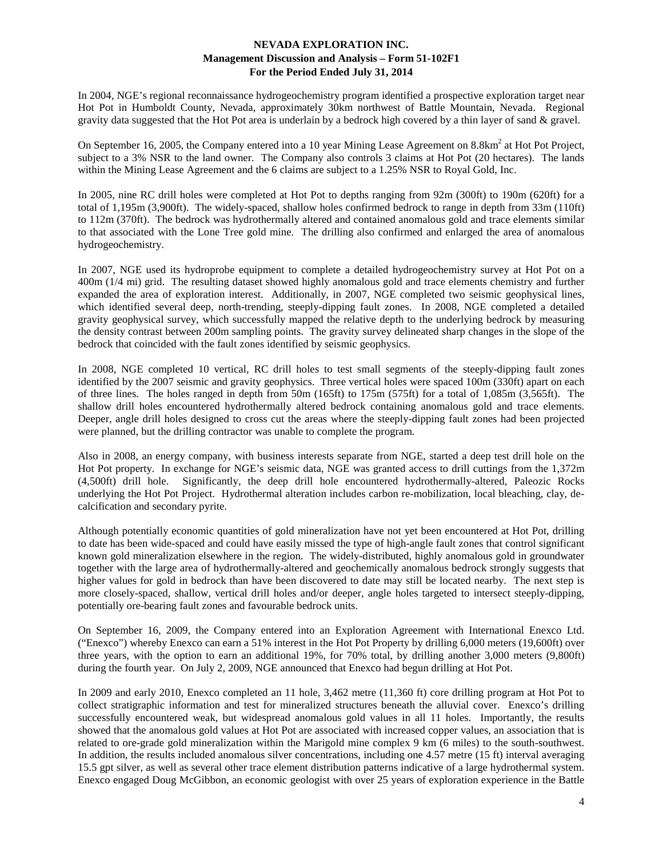In 2004, NGE's regional reconnaissance hydrogeochemistry program identified a prospective exploration target near Hot Pot in Humboldt County, Nevada, approximately 30km northwest of Battle Mountain, Nevada. Regional gravity data suggested that the Hot Pot area is underlain by a bedrock high covered by a thin layer of sand & gravel.

On September 16, 2005, the Company entered into a 10 year Mining Lease Agreement on  $8.8 \text{km}^2$  at Hot Project, subject to a 3% NSR to the land owner. The Company also controls 3 claims at Hot Pot (20 hectares). The lands within the Mining Lease Agreement and the 6 claims are subject to a 1.25% NSR to Royal Gold, Inc.

In 2005, nine RC drill holes were completed at Hot Pot to depths ranging from 92m (300ft) to 190m (620ft) for a total of 1,195m (3,900ft). The widely-spaced, shallow holes confirmed bedrock to range in depth from 33m (110ft) to 112m (370ft). The bedrock was hydrothermally altered and contained anomalous gold and trace elements similar to that associated with the Lone Tree gold mine. The drilling also confirmed and enlarged the area of anomalous hydrogeochemistry.

In 2007, NGE used its hydroprobe equipment to complete a detailed hydrogeochemistry survey at Hot Pot on a 400m (1/4 mi) grid. The resulting dataset showed highly anomalous gold and trace elements chemistry and further expanded the area of exploration interest. Additionally, in 2007, NGE completed two seismic geophysical lines, which identified several deep, north-trending, steeply-dipping fault zones. In 2008, NGE completed a detailed gravity geophysical survey, which successfully mapped the relative depth to the underlying bedrock by measuring the density contrast between 200m sampling points. The gravity survey delineated sharp changes in the slope of the bedrock that coincided with the fault zones identified by seismic geophysics.

In 2008, NGE completed 10 vertical, RC drill holes to test small segments of the steeply-dipping fault zones identified by the 2007 seismic and gravity geophysics. Three vertical holes were spaced 100m (330ft) apart on each of three lines. The holes ranged in depth from 50m (165ft) to 175m (575ft) for a total of 1,085m (3,565ft). The shallow drill holes encountered hydrothermally altered bedrock containing anomalous gold and trace elements. Deeper, angle drill holes designed to cross cut the areas where the steeply-dipping fault zones had been projected were planned, but the drilling contractor was unable to complete the program.

Also in 2008, an energy company, with business interests separate from NGE, started a deep test drill hole on the Hot Pot property. In exchange for NGE's seismic data, NGE was granted access to drill cuttings from the 1,372m (4,500ft) drill hole. Significantly, the deep drill hole encountered hydrothermally-altered, Paleozic Rocks underlying the Hot Pot Project. Hydrothermal alteration includes carbon re-mobilization, local bleaching, clay, decalcification and secondary pyrite.

Although potentially economic quantities of gold mineralization have not yet been encountered at Hot Pot, drilling to date has been wide-spaced and could have easily missed the type of high-angle fault zones that control significant known gold mineralization elsewhere in the region. The widely-distributed, highly anomalous gold in groundwater together with the large area of hydrothermally-altered and geochemically anomalous bedrock strongly suggests that higher values for gold in bedrock than have been discovered to date may still be located nearby. The next step is more closely-spaced, shallow, vertical drill holes and/or deeper, angle holes targeted to intersect steeply-dipping, potentially ore-bearing fault zones and favourable bedrock units.

On September 16, 2009, the Company entered into an Exploration Agreement with International Enexco Ltd. ("Enexco") whereby Enexco can earn a 51% interest in the Hot Pot Property by drilling 6,000 meters (19,600ft) over three years, with the option to earn an additional 19%, for 70% total, by drilling another 3,000 meters (9,800ft) during the fourth year. On July 2, 2009, NGE announced that Enexco had begun drilling at Hot Pot.

In 2009 and early 2010, Enexco completed an 11 hole, 3,462 metre (11,360 ft) core drilling program at Hot Pot to collect stratigraphic information and test for mineralized structures beneath the alluvial cover. Enexco's drilling successfully encountered weak, but widespread anomalous gold values in all 11 holes. Importantly, the results showed that the anomalous gold values at Hot Pot are associated with increased copper values, an association that is related to ore-grade gold mineralization within the Marigold mine complex 9 km (6 miles) to the south-southwest. In addition, the results included anomalous silver concentrations, including one 4.57 metre (15 ft) interval averaging 15.5 gpt silver, as well as several other trace element distribution patterns indicative of a large hydrothermal system. Enexco engaged Doug McGibbon, an economic geologist with over 25 years of exploration experience in the Battle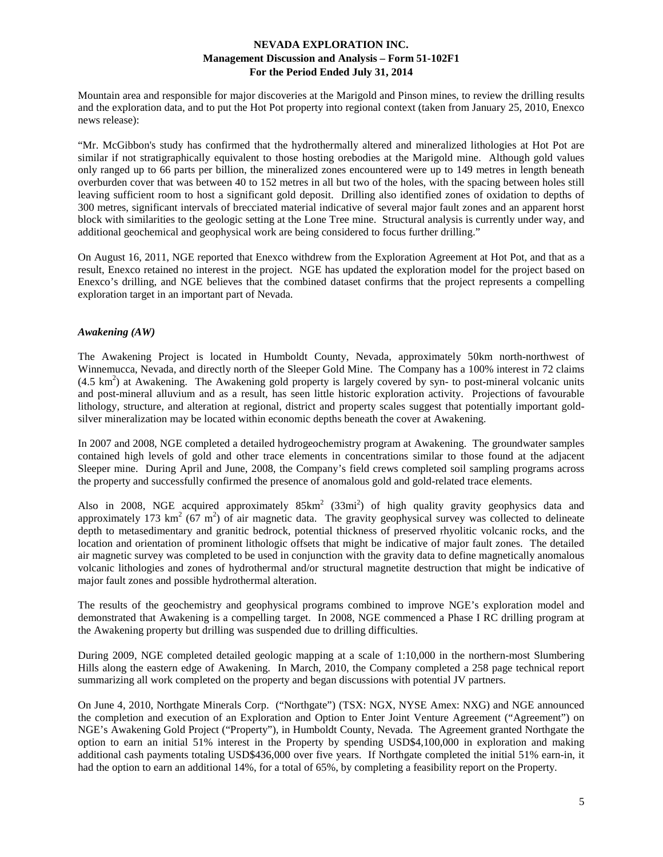Mountain area and responsible for major discoveries at the Marigold and Pinson mines, to review the drilling results and the exploration data, and to put the Hot Pot property into regional context (taken from January 25, 2010, Enexco news release):

"Mr. McGibbon's study has confirmed that the hydrothermally altered and mineralized lithologies at Hot Pot are similar if not stratigraphically equivalent to those hosting orebodies at the Marigold mine. Although gold values only ranged up to 66 parts per billion, the mineralized zones encountered were up to 149 metres in length beneath overburden cover that was between 40 to 152 metres in all but two of the holes, with the spacing between holes still leaving sufficient room to host a significant gold deposit. Drilling also identified zones of oxidation to depths of 300 metres, significant intervals of brecciated material indicative of several major fault zones and an apparent horst block with similarities to the geologic setting at the Lone Tree mine. Structural analysis is currently under way, and additional geochemical and geophysical work are being considered to focus further drilling."

On August 16, 2011, NGE reported that Enexco withdrew from the Exploration Agreement at Hot Pot, and that as a result, Enexco retained no interest in the project. NGE has updated the exploration model for the project based on Enexco's drilling, and NGE believes that the combined dataset confirms that the project represents a compelling exploration target in an important part of Nevada.

## *Awakening (AW)*

The Awakening Project is located in Humboldt County, Nevada, approximately 50km north-northwest of Winnemucca, Nevada, and directly north of the Sleeper Gold Mine. The Company has a 100% interest in 72 claims (4.5 km<sup>2</sup>) at Awakening. The Awakening gold property is largely covered by syn- to post-mineral volcanic units and post-mineral alluvium and as a result, has seen little historic exploration activity. Projections of favourable lithology, structure, and alteration at regional, district and property scales suggest that potentially important goldsilver mineralization may be located within economic depths beneath the cover at Awakening.

In 2007 and 2008, NGE completed a detailed hydrogeochemistry program at Awakening. The groundwater samples contained high levels of gold and other trace elements in concentrations similar to those found at the adjacent Sleeper mine. During April and June, 2008, the Company's field crews completed soil sampling programs across the property and successfully confirmed the presence of anomalous gold and gold-related trace elements.

Also in 2008, NGE acquired approximately  $85 \text{km}^2$  (33mi<sup>2</sup>) of high quality gravity geophysics data and approximately 173 km<sup>2</sup> ( $67 \text{ m}^2$ ) of air magnetic data. The gravity geophysical survey was collected to delineate depth to metasedimentary and granitic bedrock, potential thickness of preserved rhyolitic volcanic rocks, and the location and orientation of prominent lithologic offsets that might be indicative of major fault zones. The detailed air magnetic survey was completed to be used in conjunction with the gravity data to define magnetically anomalous volcanic lithologies and zones of hydrothermal and/or structural magnetite destruction that might be indicative of major fault zones and possible hydrothermal alteration.

The results of the geochemistry and geophysical programs combined to improve NGE's exploration model and demonstrated that Awakening is a compelling target. In 2008, NGE commenced a Phase I RC drilling program at the Awakening property but drilling was suspended due to drilling difficulties.

During 2009, NGE completed detailed geologic mapping at a scale of 1:10,000 in the northern-most Slumbering Hills along the eastern edge of Awakening. In March, 2010, the Company completed a 258 page technical report summarizing all work completed on the property and began discussions with potential JV partners.

On June 4, 2010, Northgate Minerals Corp. ("Northgate") (TSX: NGX, NYSE Amex: NXG) and NGE announced the completion and execution of an Exploration and Option to Enter Joint Venture Agreement ("Agreement") on NGE's Awakening Gold Project ("Property"), in Humboldt County, Nevada. The Agreement granted Northgate the option to earn an initial 51% interest in the Property by spending USD\$4,100,000 in exploration and making additional cash payments totaling USD\$436,000 over five years. If Northgate completed the initial 51% earn-in, it had the option to earn an additional 14%, for a total of 65%, by completing a feasibility report on the Property.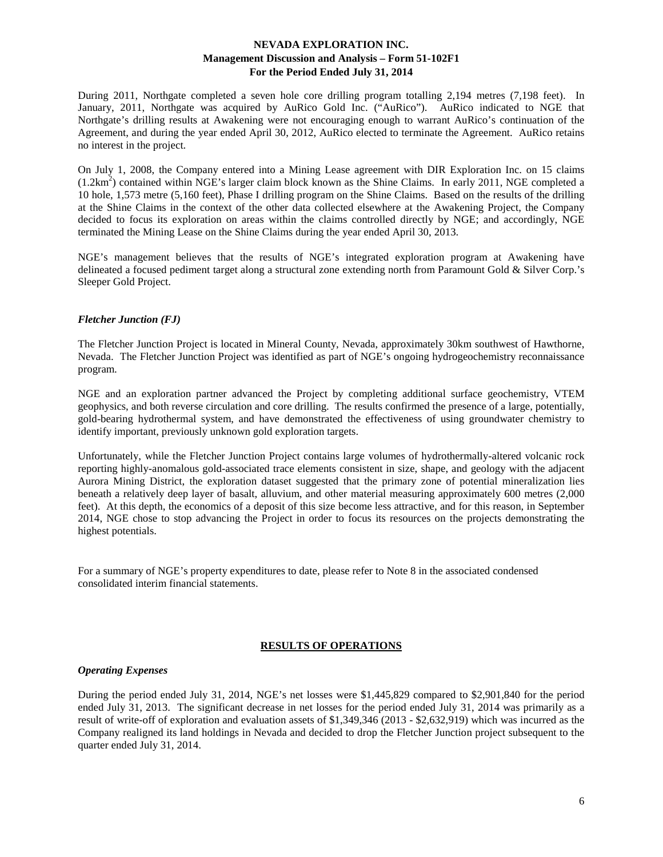During 2011, Northgate completed a seven hole core drilling program totalling 2,194 metres (7,198 feet). In January, 2011, Northgate was acquired by AuRico Gold Inc. ("AuRico"). AuRico indicated to NGE that Northgate's drilling results at Awakening were not encouraging enough to warrant AuRico's continuation of the Agreement, and during the year ended April 30, 2012, AuRico elected to terminate the Agreement. AuRico retains no interest in the project.

On July 1, 2008, the Company entered into a Mining Lease agreement with DIR Exploration Inc. on 15 claims  $(1.2km<sup>2</sup>)$  contained within NGE's larger claim block known as the Shine Claims. In early 2011, NGE completed a 10 hole, 1,573 metre (5,160 feet), Phase I drilling program on the Shine Claims. Based on the results of the drilling at the Shine Claims in the context of the other data collected elsewhere at the Awakening Project, the Company decided to focus its exploration on areas within the claims controlled directly by NGE; and accordingly, NGE terminated the Mining Lease on the Shine Claims during the year ended April 30, 2013.

NGE's management believes that the results of NGE's integrated exploration program at Awakening have delineated a focused pediment target along a structural zone extending north from Paramount Gold & Silver Corp.'s Sleeper Gold Project.

#### *Fletcher Junction (FJ)*

The Fletcher Junction Project is located in Mineral County, Nevada, approximately 30km southwest of Hawthorne, Nevada. The Fletcher Junction Project was identified as part of NGE's ongoing hydrogeochemistry reconnaissance program.

NGE and an exploration partner advanced the Project by completing additional surface geochemistry, VTEM geophysics, and both reverse circulation and core drilling. The results confirmed the presence of a large, potentially, gold-bearing hydrothermal system, and have demonstrated the effectiveness of using groundwater chemistry to identify important, previously unknown gold exploration targets.

Unfortunately, while the Fletcher Junction Project contains large volumes of hydrothermally-altered volcanic rock reporting highly-anomalous gold-associated trace elements consistent in size, shape, and geology with the adjacent Aurora Mining District, the exploration dataset suggested that the primary zone of potential mineralization lies beneath a relatively deep layer of basalt, alluvium, and other material measuring approximately 600 metres (2,000 feet). At this depth, the economics of a deposit of this size become less attractive, and for this reason, in September 2014, NGE chose to stop advancing the Project in order to focus its resources on the projects demonstrating the highest potentials.

For a summary of NGE's property expenditures to date, please refer to Note 8 in the associated condensed consolidated interim financial statements.

## **RESULTS OF OPERATIONS**

## *Operating Expenses*

During the period ended July 31, 2014, NGE's net losses were \$1,445,829 compared to \$2,901,840 for the period ended July 31, 2013. The significant decrease in net losses for the period ended July 31, 2014 was primarily as a result of write-off of exploration and evaluation assets of \$1,349,346 (2013 - \$2,632,919) which was incurred as the Company realigned its land holdings in Nevada and decided to drop the Fletcher Junction project subsequent to the quarter ended July 31, 2014.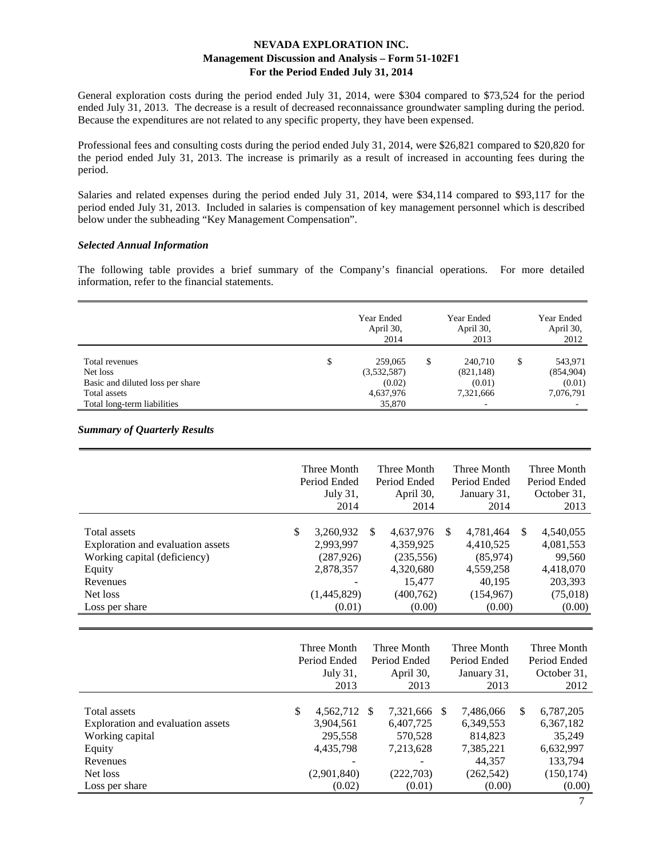General exploration costs during the period ended July 31, 2014, were \$304 compared to \$73,524 for the period ended July 31, 2013. The decrease is a result of decreased reconnaissance groundwater sampling during the period. Because the expenditures are not related to any specific property, they have been expensed.

Professional fees and consulting costs during the period ended July 31, 2014, were \$26,821 compared to \$20,820 for the period ended July 31, 2013. The increase is primarily as a result of increased in accounting fees during the period.

Salaries and related expenses during the period ended July 31, 2014, were \$34,114 compared to \$93,117 for the period ended July 31, 2013. Included in salaries is compensation of key management personnel which is described below under the subheading "Key Management Compensation".

#### *Selected Annual Information*

The following table provides a brief summary of the Company's financial operations. For more detailed information, refer to the financial statements.

|                                  | Year Ended<br>April 30,<br>2014 | Year Ended<br>April 30,<br>2013 |   | Year Ended<br>April 30,<br>2012 |
|----------------------------------|---------------------------------|---------------------------------|---|---------------------------------|
| Total revenues                   | \$<br>259,065                   | \$<br>240,710                   | S | 543,971                         |
| Net loss                         | (3,532,587)                     | (821, 148)                      |   | (854,904)                       |
| Basic and diluted loss per share | (0.02)                          | (0.01)                          |   | (0.01)                          |
| Total assets                     | 4,637,976                       | 7,321,666                       |   | 7,076,791                       |
| Total long-term liabilities      | 35,870                          |                                 |   |                                 |

#### *Summary of Quarterly Results*

|                                                                                                                                       | Three Month<br>Period Ended<br>July 31,<br>2014                                  |               | Three Month<br>Period Ended<br>April 30,<br>2014                                    |               | Three Month<br>Period Ended<br>January 31,<br>2014                                |    | Three Month<br>Period Ended<br>October 31,<br>2013                             |
|---------------------------------------------------------------------------------------------------------------------------------------|----------------------------------------------------------------------------------|---------------|-------------------------------------------------------------------------------------|---------------|-----------------------------------------------------------------------------------|----|--------------------------------------------------------------------------------|
| Total assets<br>Exploration and evaluation assets<br>Working capital (deficiency)<br>Equity<br>Revenues<br>Net loss<br>Loss per share | \$<br>3,260,932<br>2,993,997<br>(287, 926)<br>2,878,357<br>(1,445,829)<br>(0.01) | <sup>\$</sup> | 4,637,976<br>4,359,925<br>(235, 556)<br>4,320,680<br>15,477<br>(400, 762)<br>(0.00) | <sup>\$</sup> | 4,781,464<br>4,410,525<br>(85,974)<br>4,559,258<br>40,195<br>(154, 967)<br>(0.00) | -S | 4,540,055<br>4,081,553<br>99,560<br>4,418,070<br>203,393<br>(75,018)<br>(0.00) |

|                                   | Three Month<br>Period Ended | Three Month<br>Period Ended |    | Three Month<br>Period Ended |     | Three Month<br>Period Ended |
|-----------------------------------|-----------------------------|-----------------------------|----|-----------------------------|-----|-----------------------------|
|                                   | July 31,                    | April 30,                   |    | January 31,                 |     | October 31,                 |
|                                   | 2013                        | 2013                        |    | 2013                        |     | 2012                        |
|                                   |                             |                             |    |                             |     |                             |
| Total assets                      | \$<br>4,562,712 \$          | 7,321,666                   | -S | 7,486,066                   | \$. | 6,787,205                   |
| Exploration and evaluation assets | 3,904,561                   | 6,407,725                   |    | 6,349,553                   |     | 6,367,182                   |
| Working capital                   | 295,558                     | 570.528                     |    | 814,823                     |     | 35.249                      |
| Equity                            | 4,435,798                   | 7,213,628                   |    | 7,385,221                   |     | 6,632,997                   |
| Revenues                          |                             |                             |    | 44.357                      |     | 133.794                     |
| Net loss                          | (2,901,840)                 | (222,703)                   |    | (262, 542)                  |     | (150, 174)                  |
| Loss per share                    | (0.02)                      | (0.01)                      |    | (0.00)                      |     | (0.00)                      |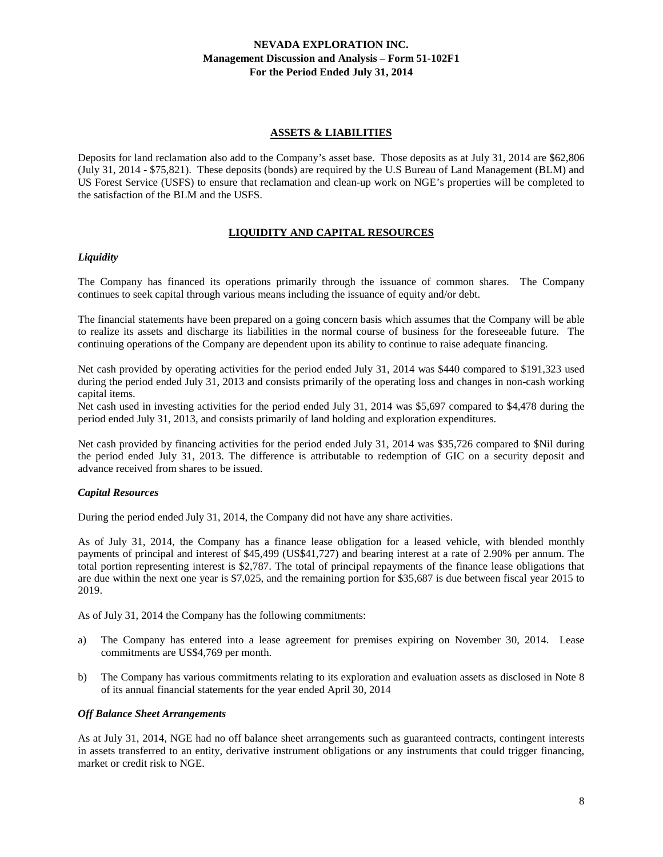## **ASSETS & LIABILITIES**

Deposits for land reclamation also add to the Company's asset base. Those deposits as at July 31, 2014 are \$62,806 (July 31, 2014 - \$75,821). These deposits (bonds) are required by the U.S Bureau of Land Management (BLM) and US Forest Service (USFS) to ensure that reclamation and clean-up work on NGE's properties will be completed to the satisfaction of the BLM and the USFS.

# **LIQUIDITY AND CAPITAL RESOURCES**

#### *Liquidity*

The Company has financed its operations primarily through the issuance of common shares. The Company continues to seek capital through various means including the issuance of equity and/or debt.

The financial statements have been prepared on a going concern basis which assumes that the Company will be able to realize its assets and discharge its liabilities in the normal course of business for the foreseeable future. The continuing operations of the Company are dependent upon its ability to continue to raise adequate financing.

Net cash provided by operating activities for the period ended July 31, 2014 was \$440 compared to \$191,323 used during the period ended July 31, 2013 and consists primarily of the operating loss and changes in non-cash working capital items.

Net cash used in investing activities for the period ended July 31, 2014 was \$5,697 compared to \$4,478 during the period ended July 31, 2013, and consists primarily of land holding and exploration expenditures.

Net cash provided by financing activities for the period ended July 31, 2014 was \$35,726 compared to \$Nil during the period ended July 31, 2013. The difference is attributable to redemption of GIC on a security deposit and advance received from shares to be issued.

#### *Capital Resources*

During the period ended July 31, 2014, the Company did not have any share activities.

As of July 31, 2014, the Company has a finance lease obligation for a leased vehicle, with blended monthly payments of principal and interest of \$45,499 (US\$41,727) and bearing interest at a rate of 2.90% per annum. The total portion representing interest is \$2,787. The total of principal repayments of the finance lease obligations that are due within the next one year is \$7,025, and the remaining portion for \$35,687 is due between fiscal year 2015 to 2019.

As of July 31, 2014 the Company has the following commitments:

- a) The Company has entered into a lease agreement for premises expiring on November 30, 2014. Lease commitments are US\$4,769 per month.
- b) The Company has various commitments relating to its exploration and evaluation assets as disclosed in Note 8 of its annual financial statements for the year ended April 30, 2014

#### *Off Balance Sheet Arrangements*

As at July 31, 2014, NGE had no off balance sheet arrangements such as guaranteed contracts, contingent interests in assets transferred to an entity, derivative instrument obligations or any instruments that could trigger financing, market or credit risk to NGE.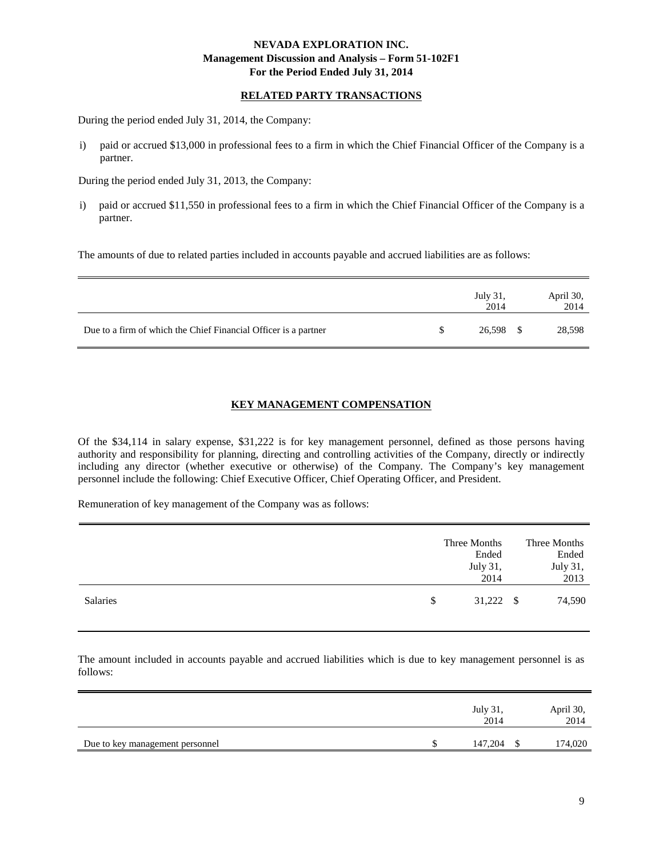# **RELATED PARTY TRANSACTIONS**

During the period ended July 31, 2014, the Company:

i) paid or accrued \$13,000 in professional fees to a firm in which the Chief Financial Officer of the Company is a partner.

During the period ended July 31, 2013, the Company:

i) paid or accrued \$11,550 in professional fees to a firm in which the Chief Financial Officer of the Company is a partner.

The amounts of due to related parties included in accounts payable and accrued liabilities are as follows:

|                                                                 | July 31,<br>2014 | April 30,<br>2014 |
|-----------------------------------------------------------------|------------------|-------------------|
| Due to a firm of which the Chief Financial Officer is a partner | 26,598 \$        | 28,598            |

# **KEY MANAGEMENT COMPENSATION**

Of the \$34,114 in salary expense, \$31,222 is for key management personnel, defined as those persons having authority and responsibility for planning, directing and controlling activities of the Company, directly or indirectly including any director (whether executive or otherwise) of the Company. The Company's key management personnel include the following: Chief Executive Officer, Chief Operating Officer, and President.

Remuneration of key management of the Company was as follows:

|          |              | Three Months<br>Ended | Three Months<br>Ended |
|----------|--------------|-----------------------|-----------------------|
|          |              | July 31,<br>2014      | July 31,<br>2013      |
| Salaries | $\mathbb{S}$ | $31,222$ \$           | 74,590                |

The amount included in accounts payable and accrued liabilities which is due to key management personnel is as follows:

|                                 | July 31,<br>2014 | April 30,<br>2014 |
|---------------------------------|------------------|-------------------|
| Due to key management personnel | 147,204          | 174,020           |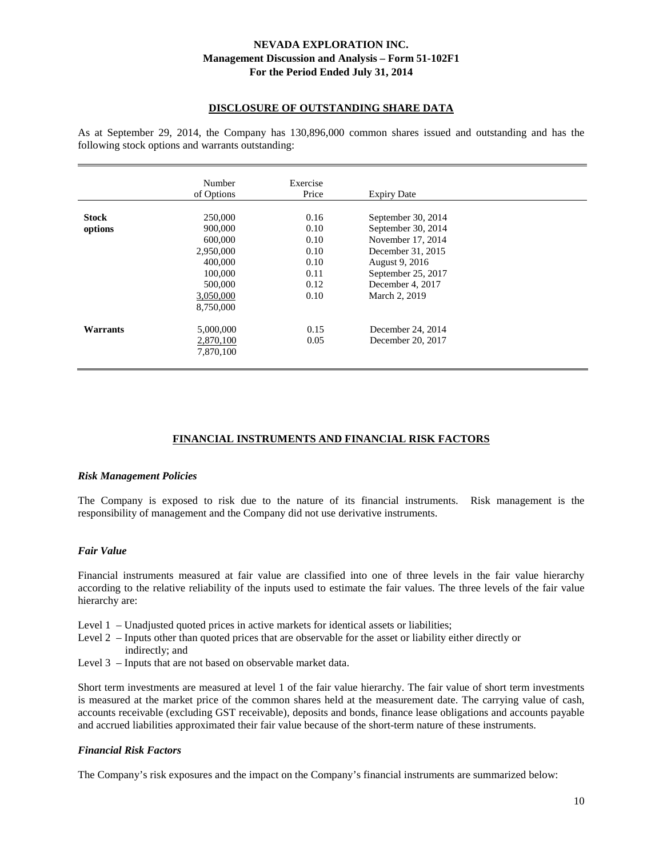## **DISCLOSURE OF OUTSTANDING SHARE DATA**

As at September 29, 2014, the Company has 130,896,000 common shares issued and outstanding and has the following stock options and warrants outstanding:

|                         | Number<br>of Options                                                            | Exercise<br>Price                            | <b>Expiry Date</b>                                                                                                  |  |
|-------------------------|---------------------------------------------------------------------------------|----------------------------------------------|---------------------------------------------------------------------------------------------------------------------|--|
| <b>Stock</b><br>options | 250,000<br>900,000                                                              | 0.16<br>0.10                                 | September 30, 2014<br>September 30, 2014                                                                            |  |
|                         | 600,000<br>2.950,000<br>400,000<br>100,000<br>500,000<br>3,050,000<br>8,750,000 | 0.10<br>0.10<br>0.10<br>0.11<br>0.12<br>0.10 | November 17, 2014<br>December 31, 2015<br>August 9, 2016<br>September 25, 2017<br>December 4, 2017<br>March 2, 2019 |  |
| Warrants                | 5,000,000<br>2,870,100<br>7,870,100                                             | 0.15<br>0.05                                 | December 24, 2014<br>December 20, 2017                                                                              |  |

## **FINANCIAL INSTRUMENTS AND FINANCIAL RISK FACTORS**

#### *Risk Management Policies*

The Company is exposed to risk due to the nature of its financial instruments. Risk management is the responsibility of management and the Company did not use derivative instruments.

#### *Fair Value*

Financial instruments measured at fair value are classified into one of three levels in the fair value hierarchy according to the relative reliability of the inputs used to estimate the fair values. The three levels of the fair value hierarchy are:

- Level 1 Unadjusted quoted prices in active markets for identical assets or liabilities;
- Level 2 Inputs other than quoted prices that are observable for the asset or liability either directly or indirectly; and
- Level 3 Inputs that are not based on observable market data.

Short term investments are measured at level 1 of the fair value hierarchy. The fair value of short term investments is measured at the market price of the common shares held at the measurement date. The carrying value of cash, accounts receivable (excluding GST receivable), deposits and bonds, finance lease obligations and accounts payable and accrued liabilities approximated their fair value because of the short-term nature of these instruments.

#### *Financial Risk Factors*

The Company's risk exposures and the impact on the Company's financial instruments are summarized below: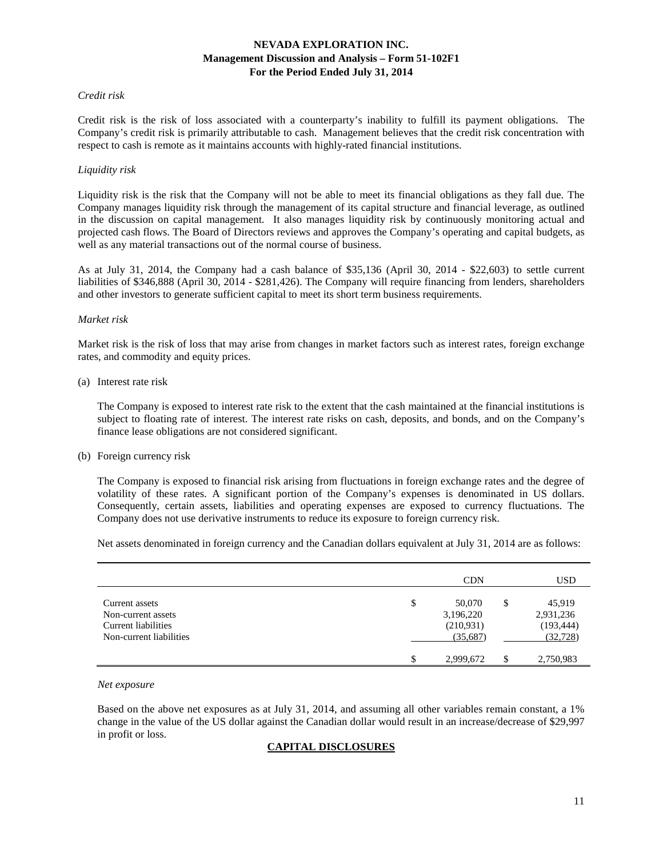#### *Credit risk*

Credit risk is the risk of loss associated with a counterparty's inability to fulfill its payment obligations. The Company's credit risk is primarily attributable to cash. Management believes that the credit risk concentration with respect to cash is remote as it maintains accounts with highly-rated financial institutions.

#### *Liquidity risk*

Liquidity risk is the risk that the Company will not be able to meet its financial obligations as they fall due. The Company manages liquidity risk through the management of its capital structure and financial leverage, as outlined in the discussion on capital management. It also manages liquidity risk by continuously monitoring actual and projected cash flows. The Board of Directors reviews and approves the Company's operating and capital budgets, as well as any material transactions out of the normal course of business.

As at July 31, 2014, the Company had a cash balance of \$35,136 (April 30, 2014 - \$22,603) to settle current liabilities of \$346,888 (April 30, 2014 - \$281,426). The Company will require financing from lenders, shareholders and other investors to generate sufficient capital to meet its short term business requirements.

#### *Market risk*

Market risk is the risk of loss that may arise from changes in market factors such as interest rates, foreign exchange rates, and commodity and equity prices.

#### (a) Interest rate risk

The Company is exposed to interest rate risk to the extent that the cash maintained at the financial institutions is subject to floating rate of interest. The interest rate risks on cash, deposits, and bonds, and on the Company's finance lease obligations are not considered significant.

#### (b) Foreign currency risk

The Company is exposed to financial risk arising from fluctuations in foreign exchange rates and the degree of volatility of these rates. A significant portion of the Company's expenses is denominated in US dollars. Consequently, certain assets, liabilities and operating expenses are exposed to currency fluctuations. The Company does not use derivative instruments to reduce its exposure to foreign currency risk.

Net assets denominated in foreign currency and the Canadian dollars equivalent at July 31, 2014 are as follows:

|                                                                                        | <b>CDN</b>                                         | <b>USD</b>                                           |
|----------------------------------------------------------------------------------------|----------------------------------------------------|------------------------------------------------------|
| Current assets<br>Non-current assets<br>Current liabilities<br>Non-current liabilities | \$<br>50,070<br>3,196,220<br>(210,931)<br>(35,687) | \$<br>45,919<br>2,931,236<br>(193, 444)<br>(32, 728) |
|                                                                                        | \$<br>2,999,672                                    | 2,750,983                                            |

#### *Net exposure*

Based on the above net exposures as at July 31, 2014, and assuming all other variables remain constant, a 1% change in the value of the US dollar against the Canadian dollar would result in an increase/decrease of \$29,997 in profit or loss.

#### **CAPITAL DISCLOSURES**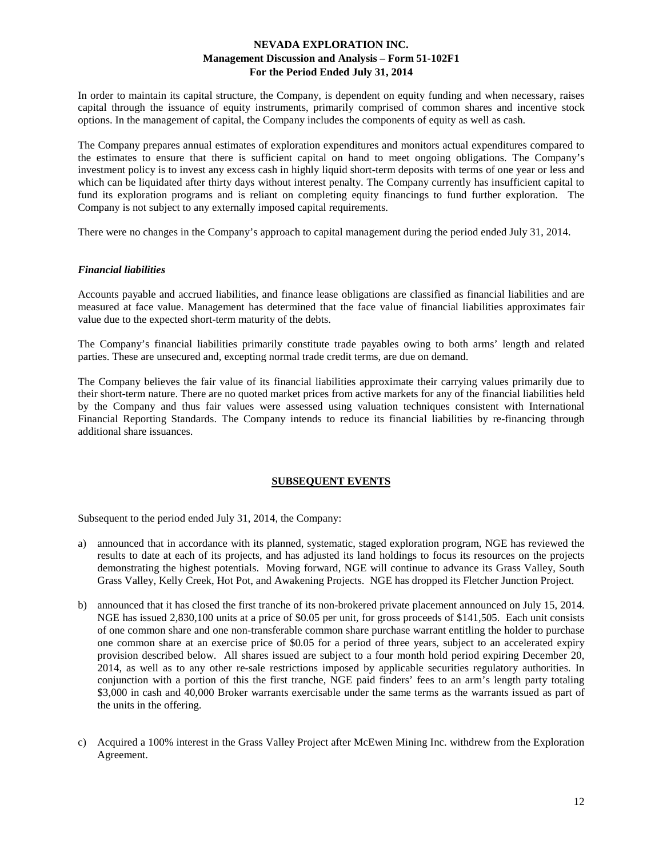In order to maintain its capital structure, the Company, is dependent on equity funding and when necessary, raises capital through the issuance of equity instruments, primarily comprised of common shares and incentive stock options. In the management of capital, the Company includes the components of equity as well as cash.

The Company prepares annual estimates of exploration expenditures and monitors actual expenditures compared to the estimates to ensure that there is sufficient capital on hand to meet ongoing obligations. The Company's investment policy is to invest any excess cash in highly liquid short-term deposits with terms of one year or less and which can be liquidated after thirty days without interest penalty. The Company currently has insufficient capital to fund its exploration programs and is reliant on completing equity financings to fund further exploration. The Company is not subject to any externally imposed capital requirements.

There were no changes in the Company's approach to capital management during the period ended July 31, 2014.

#### *Financial liabilities*

Accounts payable and accrued liabilities, and finance lease obligations are classified as financial liabilities and are measured at face value. Management has determined that the face value of financial liabilities approximates fair value due to the expected short-term maturity of the debts.

The Company's financial liabilities primarily constitute trade payables owing to both arms' length and related parties. These are unsecured and, excepting normal trade credit terms, are due on demand.

The Company believes the fair value of its financial liabilities approximate their carrying values primarily due to their short-term nature. There are no quoted market prices from active markets for any of the financial liabilities held by the Company and thus fair values were assessed using valuation techniques consistent with International Financial Reporting Standards. The Company intends to reduce its financial liabilities by re-financing through additional share issuances.

## **SUBSEQUENT EVENTS**

Subsequent to the period ended July 31, 2014, the Company:

- a) announced that in accordance with its planned, systematic, staged exploration program, NGE has reviewed the results to date at each of its projects, and has adjusted its land holdings to focus its resources on the projects demonstrating the highest potentials. Moving forward, NGE will continue to advance its Grass Valley, South Grass Valley, Kelly Creek, Hot Pot, and Awakening Projects. NGE has dropped its Fletcher Junction Project.
- b) announced that it has closed the first tranche of its non-brokered private placement announced on July 15, 2014. NGE has issued 2,830,100 units at a price of \$0.05 per unit, for gross proceeds of \$141,505. Each unit consists of one common share and one non-transferable common share purchase warrant entitling the holder to purchase one common share at an exercise price of \$0.05 for a period of three years, subject to an accelerated expiry provision described below. All shares issued are subject to a four month hold period expiring December 20, 2014, as well as to any other re-sale restrictions imposed by applicable securities regulatory authorities. In conjunction with a portion of this the first tranche, NGE paid finders' fees to an arm's length party totaling \$3,000 in cash and 40,000 Broker warrants exercisable under the same terms as the warrants issued as part of the units in the offering.
- c) Acquired a 100% interest in the Grass Valley Project after McEwen Mining Inc. withdrew from the Exploration Agreement.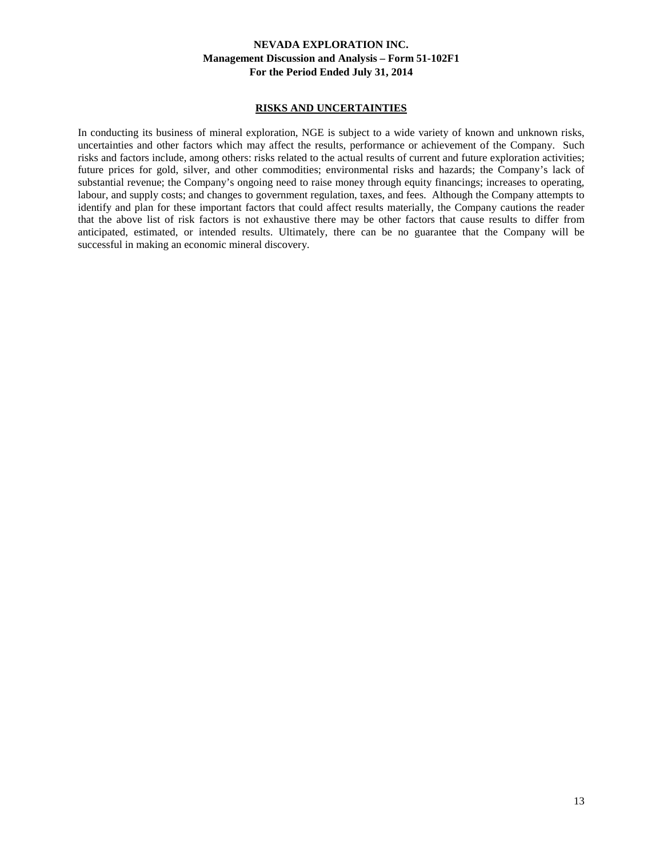#### **RISKS AND UNCERTAINTIES**

In conducting its business of mineral exploration, NGE is subject to a wide variety of known and unknown risks, uncertainties and other factors which may affect the results, performance or achievement of the Company. Such risks and factors include, among others: risks related to the actual results of current and future exploration activities; future prices for gold, silver, and other commodities; environmental risks and hazards; the Company's lack of substantial revenue; the Company's ongoing need to raise money through equity financings; increases to operating, labour, and supply costs; and changes to government regulation, taxes, and fees. Although the Company attempts to identify and plan for these important factors that could affect results materially, the Company cautions the reader that the above list of risk factors is not exhaustive there may be other factors that cause results to differ from anticipated, estimated, or intended results. Ultimately, there can be no guarantee that the Company will be successful in making an economic mineral discovery.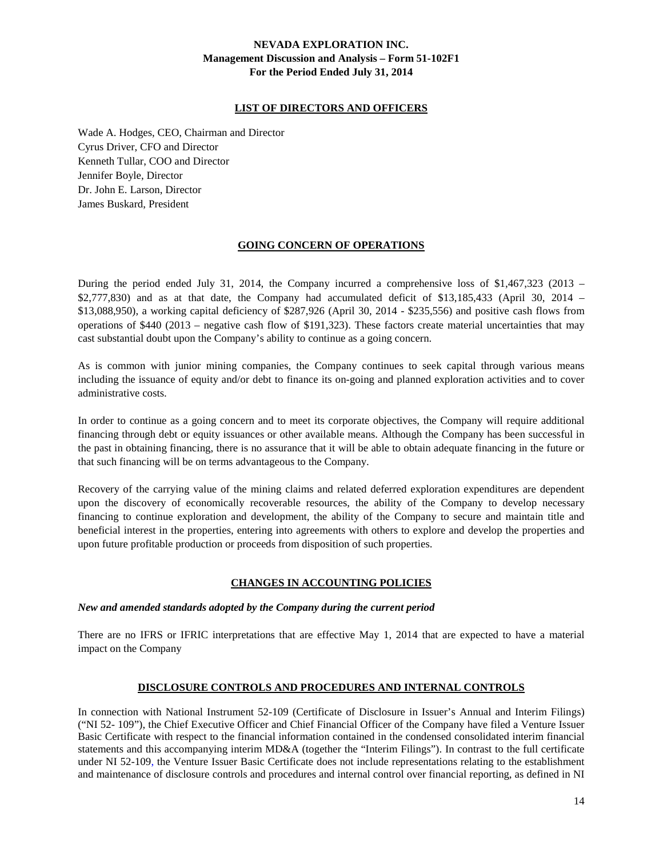# **LIST OF DIRECTORS AND OFFICERS**

Wade A. Hodges, CEO, Chairman and Director Cyrus Driver, CFO and Director Kenneth Tullar, COO and Director Jennifer Boyle, Director Dr. John E. Larson, Director James Buskard, President

## **GOING CONCERN OF OPERATIONS**

During the period ended July 31, 2014, the Company incurred a comprehensive loss of \$1,467,323 (2013 – \$2,777,830) and as at that date, the Company had accumulated deficit of \$13,185,433 (April 30, 2014 – \$13,088,950), a working capital deficiency of \$287,926 (April 30, 2014 - \$235,556) and positive cash flows from operations of \$440 (2013 – negative cash flow of \$191,323). These factors create material uncertainties that may cast substantial doubt upon the Company's ability to continue as a going concern.

As is common with junior mining companies, the Company continues to seek capital through various means including the issuance of equity and/or debt to finance its on-going and planned exploration activities and to cover administrative costs.

In order to continue as a going concern and to meet its corporate objectives, the Company will require additional financing through debt or equity issuances or other available means. Although the Company has been successful in the past in obtaining financing, there is no assurance that it will be able to obtain adequate financing in the future or that such financing will be on terms advantageous to the Company.

Recovery of the carrying value of the mining claims and related deferred exploration expenditures are dependent upon the discovery of economically recoverable resources, the ability of the Company to develop necessary financing to continue exploration and development, the ability of the Company to secure and maintain title and beneficial interest in the properties, entering into agreements with others to explore and develop the properties and upon future profitable production or proceeds from disposition of such properties.

## **CHANGES IN ACCOUNTING POLICIES**

## *New and amended standards adopted by the Company during the current period*

There are no IFRS or IFRIC interpretations that are effective May 1, 2014 that are expected to have a material impact on the Company

## **DISCLOSURE CONTROLS AND PROCEDURES AND INTERNAL CONTROLS**

In connection with National Instrument 52-109 (Certificate of Disclosure in Issuer's Annual and Interim Filings) ("NI 52- 109"), the Chief Executive Officer and Chief Financial Officer of the Company have filed a Venture Issuer Basic Certificate with respect to the financial information contained in the condensed consolidated interim financial statements and this accompanying interim MD&A (together the "Interim Filings"). In contrast to the full certificate under NI 52-109, the Venture Issuer Basic Certificate does not include representations relating to the establishment and maintenance of disclosure controls and procedures and internal control over financial reporting, as defined in NI